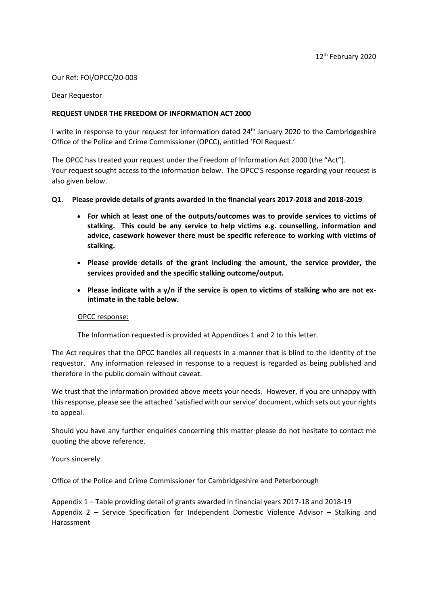### Our Ref: FOI/OPCC/20-003

#### Dear Requestor

### **REQUEST UNDER THE FREEDOM OF INFORMATION ACT 2000**

I write in response to your request for information dated 24<sup>th</sup> January 2020 to the Cambridgeshire Office of the Police and Crime Commissioner (OPCC), entitled 'FOI Request.'

The OPCC has treated your request under the Freedom of Information Act 2000 (the "Act"). Your request sought access to the information below. The OPCC'S response regarding your request is also given below.

#### **Q1. Please provide details of grants awarded in the financial years 2017-2018 and 2018-2019**

- **For which at least one of the outputs/outcomes was to provide services to victims of stalking. This could be any service to help victims e.g. counselling, information and advice, casework however there must be specific reference to working with victims of stalking.**
- **Please provide details of the grant including the amount, the service provider, the services provided and the specific stalking outcome/output.**
- Please indicate with a y/n if the service is open to victims of stalking who are not ex**intimate in the table below.**

#### OPCC response:

The Information requested is provided at Appendices 1 and 2 to this letter.

The Act requires that the OPCC handles all requests in a manner that is blind to the identity of the requestor. Any information released in response to a request is regarded as being published and therefore in the public domain without caveat.

We trust that the information provided above meets your needs. However, if you are unhappy with this response, please see the attached 'satisfied with our service' document, which sets out your rights to appeal.

Should you have any further enquiries concerning this matter please do not hesitate to contact me quoting the above reference.

Yours sincerely

Office of the Police and Crime Commissioner for Cambridgeshire and Peterborough

Appendix 1 – Table providing detail of grants awarded in financial years 2017-18 and 2018-19 Appendix 2 – Service Specification for Independent Domestic Violence Advisor – Stalking and Harassment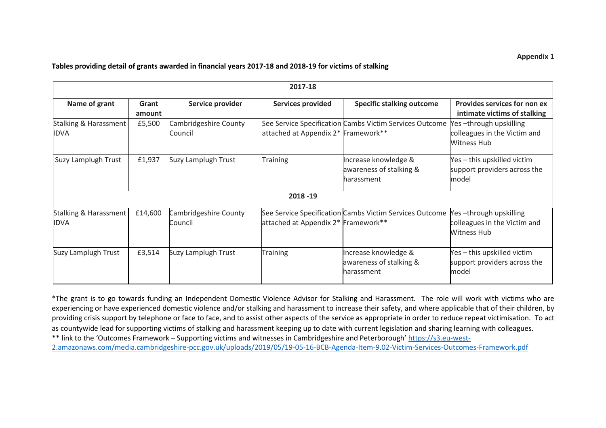### **Appendix 1**

#### **Tables providing detail of grants awarded in financial years 2017-18 and 2018-19 for victims of stalking**

| 2017-18                              |                 |                                  |                                     |                                                               |                                                                              |
|--------------------------------------|-----------------|----------------------------------|-------------------------------------|---------------------------------------------------------------|------------------------------------------------------------------------------|
| Name of grant                        | Grant<br>amount | Service provider                 | <b>Services provided</b>            | <b>Specific stalking outcome</b>                              | Provides services for non ex<br>intimate victims of stalking                 |
| Stalking & Harassment<br><b>IDVA</b> | £5,500          | Cambridgeshire County<br>Council | attached at Appendix 2* Framework** | See Service Specification Cambs Victim Services Outcome       | Yes-through upskilling<br>colleagues in the Victim and<br><b>Witness Hub</b> |
| Suzy Lamplugh Trust                  | £1,937          | Suzy Lamplugh Trust              | Training                            | Increase knowledge &<br>awareness of stalking &<br>harassment | Yes - this upskilled victim<br>support providers across the<br>model         |
| 2018 - 19                            |                 |                                  |                                     |                                                               |                                                                              |
| Stalking & Harassment<br><b>IDVA</b> | £14,600         | Cambridgeshire County<br>Council | attached at Appendix 2* Framework** | See Service Specification Cambs Victim Services Outcome       | es-through upskilling<br>colleagues in the Victim and<br><b>Witness Hub</b>  |
| Suzy Lamplugh Trust                  | £3,514          | Suzy Lamplugh Trust              | <b>Training</b>                     | Increase knowledge &<br>awareness of stalking &<br>harassment | Yes – this upskilled victim<br>support providers across the<br>model         |

\*The grant is to go towards funding an Independent Domestic Violence Advisor for Stalking and Harassment. The role will work with victims who are experiencing or have experienced domestic violence and/or stalking and harassment to increase their safety, and where applicable that of their children, by providing crisis support by telephone or face to face, and to assist other aspects of the service as appropriate in order to reduce repeat victimisation. To act as countywide lead for supporting victims of stalking and harassment keeping up to date with current legislation and sharing learning with colleagues. \*\* link to the 'Outcomes Framework – Supporting victims and witnesses in Cambridgeshire and Peterborough' [https://s3.eu-west-](https://s3.eu-west-2.amazonaws.com/media.cambridgeshire-pcc.gov.uk/uploads/2019/05/19-05-16-BCB-Agenda-Item-9.02-Victim-Services-Outcomes-Framework.pdf)[2.amazonaws.com/media.cambridgeshire-pcc.gov.uk/uploads/2019/05/19-05-16-BCB-Agenda-Item-9.02-Victim-Services-Outcomes-Framework.pdf](https://s3.eu-west-2.amazonaws.com/media.cambridgeshire-pcc.gov.uk/uploads/2019/05/19-05-16-BCB-Agenda-Item-9.02-Victim-Services-Outcomes-Framework.pdf)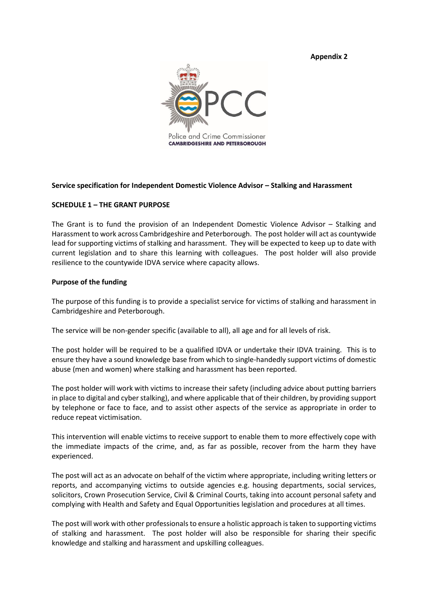**Appendix 2**



### **Service specification for Independent Domestic Violence Advisor – Stalking and Harassment**

#### **SCHEDULE 1 – THE GRANT PURPOSE**

The Grant is to fund the provision of an Independent Domestic Violence Advisor – Stalking and Harassment to work across Cambridgeshire and Peterborough. The post holder will act as countywide lead for supporting victims of stalking and harassment. They will be expected to keep up to date with current legislation and to share this learning with colleagues. The post holder will also provide resilience to the countywide IDVA service where capacity allows.

#### **Purpose of the funding**

The purpose of this funding is to provide a specialist service for victims of stalking and harassment in Cambridgeshire and Peterborough.

The service will be non-gender specific (available to all), all age and for all levels of risk.

The post holder will be required to be a qualified IDVA or undertake their IDVA training. This is to ensure they have a sound knowledge base from which to single-handedly support victims of domestic abuse (men and women) where stalking and harassment has been reported.

The post holder will work with victims to increase their safety (including advice about putting barriers in place to digital and cyber stalking), and where applicable that of their children, by providing support by telephone or face to face, and to assist other aspects of the service as appropriate in order to reduce repeat victimisation.

This intervention will enable victims to receive support to enable them to more effectively cope with the immediate impacts of the crime, and, as far as possible, recover from the harm they have experienced.

The post will act as an advocate on behalf of the victim where appropriate, including writing letters or reports, and accompanying victims to outside agencies e.g. housing departments, social services, solicitors, Crown Prosecution Service, Civil & Criminal Courts, taking into account personal safety and complying with Health and Safety and Equal Opportunities legislation and procedures at all times.

The post will work with other professionals to ensure a holistic approach is taken to supporting victims of stalking and harassment. The post holder will also be responsible for sharing their specific knowledge and stalking and harassment and upskilling colleagues.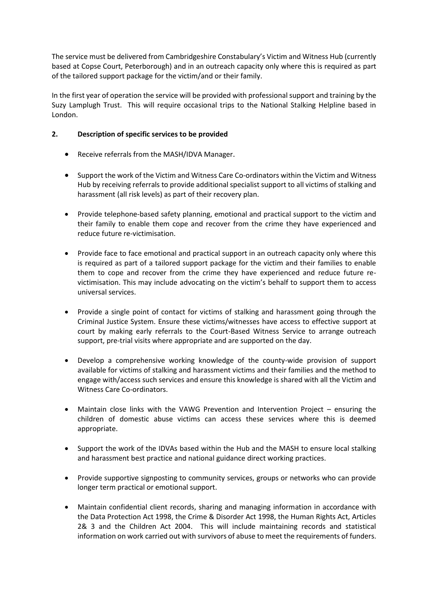The service must be delivered from Cambridgeshire Constabulary's Victim and Witness Hub (currently based at Copse Court, Peterborough) and in an outreach capacity only where this is required as part of the tailored support package for the victim/and or their family.

In the first year of operation the service will be provided with professional support and training by the Suzy Lamplugh Trust. This will require occasional trips to the National Stalking Helpline based in London.

# **2. Description of specific services to be provided**

- Receive referrals from the MASH/IDVA Manager.
- Support the work of the Victim and Witness Care Co-ordinators within the Victim and Witness Hub by receiving referrals to provide additional specialist support to all victims of stalking and harassment (all risk levels) as part of their recovery plan.
- Provide telephone-based safety planning, emotional and practical support to the victim and their family to enable them cope and recover from the crime they have experienced and reduce future re-victimisation.
- Provide face to face emotional and practical support in an outreach capacity only where this is required as part of a tailored support package for the victim and their families to enable them to cope and recover from the crime they have experienced and reduce future revictimisation. This may include advocating on the victim's behalf to support them to access universal services.
- Provide a single point of contact for victims of stalking and harassment going through the Criminal Justice System. Ensure these victims/witnesses have access to effective support at court by making early referrals to the Court-Based Witness Service to arrange outreach support, pre-trial visits where appropriate and are supported on the day.
- Develop a comprehensive working knowledge of the county-wide provision of support available for victims of stalking and harassment victims and their families and the method to engage with/access such services and ensure this knowledge is shared with all the Victim and Witness Care Co-ordinators.
- Maintain close links with the VAWG Prevention and Intervention Project ensuring the children of domestic abuse victims can access these services where this is deemed appropriate.
- Support the work of the IDVAs based within the Hub and the MASH to ensure local stalking and harassment best practice and national guidance direct working practices.
- Provide supportive signposting to community services, groups or networks who can provide longer term practical or emotional support.
- Maintain confidential client records, sharing and managing information in accordance with the Data Protection Act 1998, the Crime & Disorder Act 1998, the Human Rights Act, Articles 2& 3 and the Children Act 2004. This will include maintaining records and statistical information on work carried out with survivors of abuse to meet the requirements of funders.